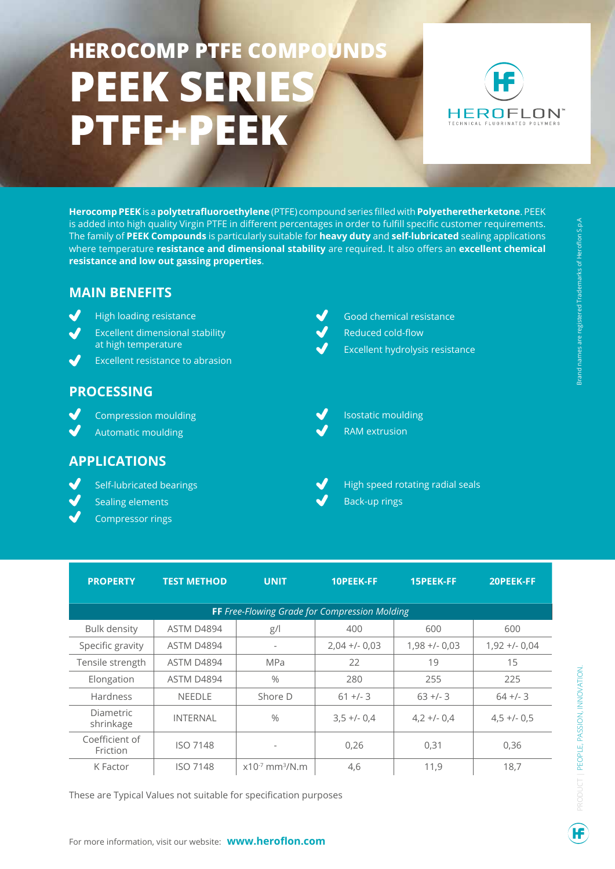# **HEROCOMP PTFE COMPOUNDS PEEK SERIE PTFE+PEEK**



**Herocomp PEEK** is a **polytetrafluoroethylene** (PTFE) compound series filled with **Polyetheretherketone**. PEEK is added into high quality Virgin PTFE in different percentages in order to fulfill specific customer requirements. The family of **PEEK Compounds** is particularly suitable for **heavy duty** and **self-lubricated** sealing applications where temperature **resistance and dimensional stability** are required. It also offers an **excellent chemical resistance and low out gassing properties**.

## **MAIN BENEFITS**

- J High loading resistance
- J Excellent dimensional stability at high temperature
- Excellent resistance to abrasion

## **PROCESSING**

J Compression moulding

Automatic moulding

### **APPLICATIONS**

- Self-lubricated bearings
- Sealing elements
- Compressor rings
- Good chemical resistance Reduced cold-flow Excellent hydrolysis resistance
- Isostatic moulding
- RAM extrusion
	- High speed rotating radial seals Back-up rings

| <b>PROPERTY</b>                                      | <b>TEST METHOD</b> | <b>UNIT</b>                     | <b>10PEEK-FF</b> | <b>15PEEK-FF</b> | 20PEEK-FF       |
|------------------------------------------------------|--------------------|---------------------------------|------------------|------------------|-----------------|
| <b>FF</b> Free-Flowing Grade for Compression Molding |                    |                                 |                  |                  |                 |
| <b>Bulk density</b>                                  | ASTM D4894         | g/                              | 400              | 600              | 600             |
| Specific gravity                                     | ASTM D4894         |                                 | $2,04 +/- 0,03$  | $1,98 + 0,03$    | $1,92 + - 0,04$ |
| Tensile strength                                     | ASTM D4894         | <b>MPa</b>                      | 22               | 19               | 15              |
| Elongation                                           | ASTM D4894         | $\%$                            | 280              | 255              | 225             |
| <b>Hardness</b>                                      | <b>NEEDLE</b>      | Shore D                         | $61 +/- 3$       | $63 +/- 3$       | $64 + 1 - 3$    |
| <b>Diametric</b><br>shrinkage                        | <b>INTERNAL</b>    | $\frac{0}{0}$                   | $3.5 + 0.4$      | $4,2 + (-0,4)$   | $4,5 +/- 0.5$   |
| Coefficient of<br>Friction                           | <b>ISO 7148</b>    |                                 | 0,26             | 0,31             | 0,36            |
| K Factor                                             | <b>ISO 7148</b>    | $x10^{-7}$ mm <sup>3</sup> /N.m | 4,6              | 11,9             | 18.7            |

These are Typical Values not suitable for specification purposes